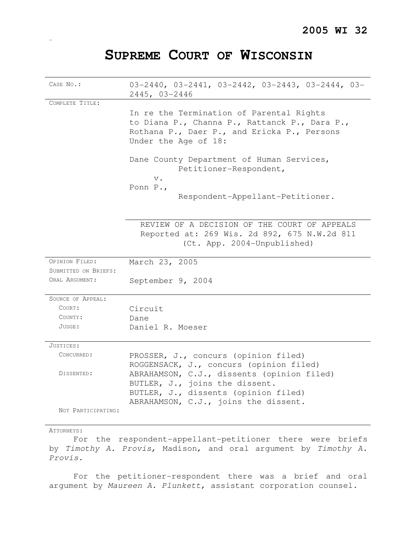# **SUPREME COURT OF WISCONSIN**

-

| CASE No.:            | $03-2440$ , $03-2441$ , $03-2442$ , $03-2443$ , $03-2444$ , $03-$<br>2445, 03-2446                                                                               |
|----------------------|------------------------------------------------------------------------------------------------------------------------------------------------------------------|
| COMPLETE TITLE:      |                                                                                                                                                                  |
|                      | In re the Termination of Parental Rights<br>to Diana P., Channa P., Rattanck P., Dara P.,<br>Rothana P., Daer P., and Ericka P., Persons<br>Under the Age of 18: |
|                      | Dane County Department of Human Services,<br>Petitioner-Respondent,<br>$V$ .                                                                                     |
|                      | Ponn $P_{\cdot}$ ,                                                                                                                                               |
|                      | Respondent-Appellant-Petitioner.                                                                                                                                 |
|                      | REVIEW OF A DECISION OF THE COURT OF APPEALS<br>Reported at: 269 Wis. 2d 892, 675 N.W.2d 811<br>(Ct. App. 2004-Unpublished)                                      |
| OPINION FILED:       | March 23, 2005                                                                                                                                                   |
| SUBMITTED ON BRIEFS: |                                                                                                                                                                  |
| ORAL ARGUMENT:       | September 9, 2004                                                                                                                                                |
| SOURCE OF APPEAL:    |                                                                                                                                                                  |
| COURT:               | Circuit                                                                                                                                                          |
| COUNTY:              | Dane                                                                                                                                                             |
| JUDGE:               | Daniel R. Moeser                                                                                                                                                 |
| JUSTICES:            |                                                                                                                                                                  |
| CONCURRED:           | PROSSER, J., concurs (opinion filed)<br>ROGGENSACK, J., concurs (opinion filed)                                                                                  |
| DISSENTED:           | ABRAHAMSON, C.J., dissents (opinion filed)<br>BUTLER, J., joins the dissent.<br>BUTLER, J., dissents (opinion filed)<br>ABRAHAMSON, C.J., joins the dissent.     |
| NOT PARTICIPATING:   |                                                                                                                                                                  |
| ATTORNEYS:           |                                                                                                                                                                  |

For the respondent-appellant-petitioner there were briefs by Timothy A. Provis, Madison, and oral argument by Timothy A. Provis.

For the petitioner-respondent there was a brief and oral argument by Maureen A. Plunkett, assistant corporation counsel.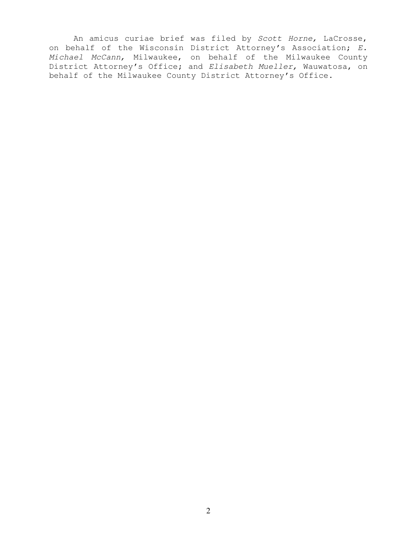An amicus curiae brief was filed by Scott Horne, LaCrosse, on behalf of the Wisconsin District Attorney's Association; E. Michael McCann, Milwaukee, on behalf of the Milwaukee County District Attorney's Office; and Elisabeth Mueller, Wauwatosa, on behalf of the Milwaukee County District Attorney's Office.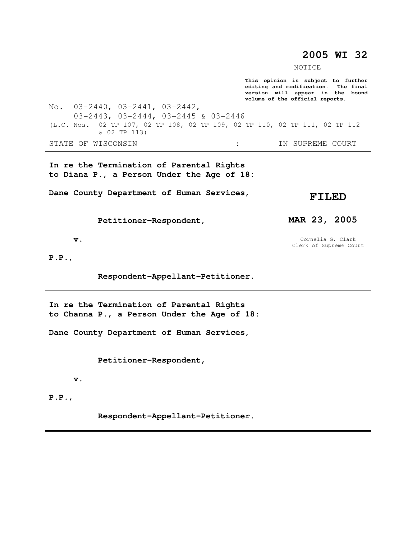# **2005 WI 32**

NOTICE

**This opinion is subject to further editing and modification. The final version will appear in the bound volume of the official reports.** 

No. 03-2440, 03-2441, 03-2442, 03-2443, 03-2444, 03-2445 & 03-2446 (L.C. Nos. 02 TP 107, 02 TP 108, 02 TP 109, 02 TP 110, 02 TP 111, 02 TP 112 & 02 TP 113) STATE OF WISCONSIN  $\cdot$  in Supreme court

**In re the Termination of Parental Rights to Diana P., a Person Under the Age of 18:** 

**Dane County Department of Human Services,** 

 **Petitioner-Respondent,** 

**FILED** 

**MAR 23, 2005** 

Cornelia G. Clark Clerk of Supreme Court

 **v.** 

**P.P.,** 

 **Respondent-Appellant-Petitioner.** 

**In re the Termination of Parental Rights to Channa P., a Person Under the Age of 18:** 

**Dane County Department of Human Services,** 

 **Petitioner-Respondent,** 

 **v.** 

**P.P.,** 

 **Respondent-Appellant-Petitioner.**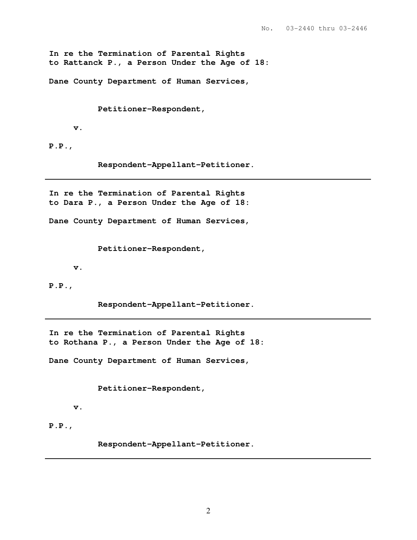**In re the Termination of Parental Rights to Rattanck P., a Person Under the Age of 18:** 

**Dane County Department of Human Services,** 

 **Petitioner-Respondent,** 

 **v.** 

**P.P.,** 

 **Respondent-Appellant-Petitioner.** 

**In re the Termination of Parental Rights to Dara P., a Person Under the Age of 18:** 

**Dane County Department of Human Services,** 

 **Petitioner-Respondent,** 

 **v.** 

**P.P.,** 

 **Respondent-Appellant-Petitioner.** 

**In re the Termination of Parental Rights to Rothana P., a Person Under the Age of 18:** 

**Dane County Department of Human Services,** 

 **Petitioner-Respondent,** 

 **v.** 

**P.P.,** 

 **Respondent-Appellant-Petitioner.**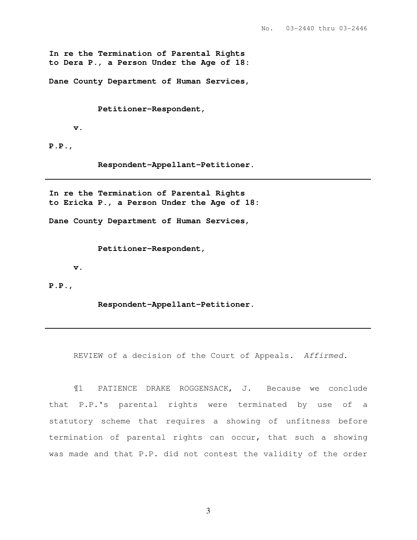**In re the Termination of Parental Rights to Dera P., a Person Under the Age of 18:** 

**Dane County Department of Human Services,** 

### **Petitioner-Respondent,**

 **v.** 

**P.P.,** 

 **Respondent-Appellant-Petitioner.** 

**In re the Termination of Parental Rights to Ericka P., a Person Under the Age of 18:** 

**Dane County Department of Human Services,** 

 **Petitioner-Respondent,** 

 **v.** 

**P.P.,** 

 **Respondent-Appellant-Petitioner.** 

REVIEW of a decision of the Court of Appeals. Affirmed.

¶1 PATIENCE DRAKE ROGGENSACK, J. Because we conclude that P.P.'s parental rights were terminated by use of a statutory scheme that requires a showing of unfitness before termination of parental rights can occur, that such a showing was made and that P.P. did not contest the validity of the order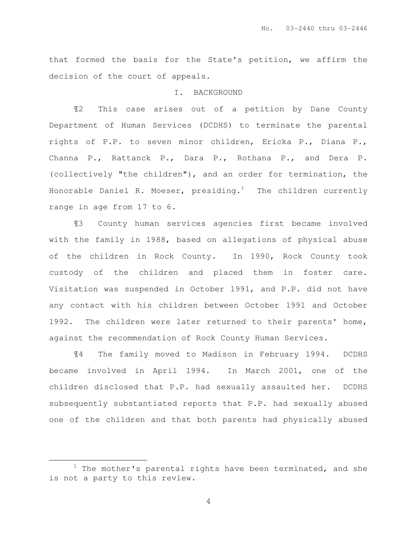that formed the basis for the State's petition, we affirm the decision of the court of appeals.

#### I. BACKGROUND

¶2 This case arises out of a petition by Dane County Department of Human Services (DCDHS) to terminate the parental rights of P.P. to seven minor children, Ericka P., Diana P., Channa P., Rattanck P., Dara P., Rothana P., and Dera P. (collectively "the children"), and an order for termination, the Honorable Daniel R. Moeser, presiding.<sup>1</sup> The children currently range in age from 17 to 6.

¶3 County human services agencies first became involved with the family in 1988, based on allegations of physical abuse of the children in Rock County. In 1990, Rock County took custody of the children and placed them in foster care. Visitation was suspended in October 1991, and P.P. did not have any contact with his children between October 1991 and October 1992. The children were later returned to their parents' home, against the recommendation of Rock County Human Services.

¶4 The family moved to Madison in February 1994. DCDHS became involved in April 1994. In March 2001, one of the children disclosed that P.P. had sexually assaulted her. DCDHS subsequently substantiated reports that P.P. had sexually abused one of the children and that both parents had physically abused

l.

 $1$  The mother's parental rights have been terminated, and she is not a party to this review.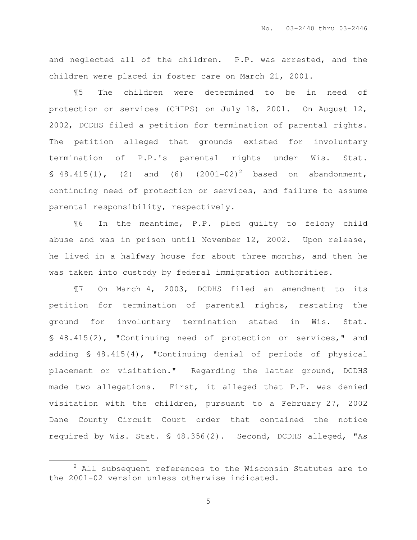and neglected all of the children. P.P. was arrested, and the children were placed in foster care on March 21, 2001.

¶5 The children were determined to be in need of protection or services (CHIPS) on July 18, 2001. On August 12, 2002, DCDHS filed a petition for termination of parental rights. The petition alleged that grounds existed for involuntary termination of P.P.'s parental rights under Wis. Stat.  $$48.415(1)$ , (2) and (6) (2001-02)<sup>2</sup> based on abandonment, continuing need of protection or services, and failure to assume parental responsibility, respectively.

¶6 In the meantime, P.P. pled guilty to felony child abuse and was in prison until November 12, 2002. Upon release, he lived in a halfway house for about three months, and then he was taken into custody by federal immigration authorities.

¶7 On March 4, 2003, DCDHS filed an amendment to its petition for termination of parental rights, restating the ground for involuntary termination stated in Wis. Stat. § 48.415(2), "Continuing need of protection or services," and adding § 48.415(4), "Continuing denial of periods of physical placement or visitation." Regarding the latter ground, DCDHS made two allegations. First, it alleged that P.P. was denied visitation with the children, pursuant to a February 27, 2002 Dane County Circuit Court order that contained the notice required by Wis. Stat. § 48.356(2). Second, DCDHS alleged, "As

l.

 $2$  All subsequent references to the Wisconsin Statutes are to the 2001-02 version unless otherwise indicated.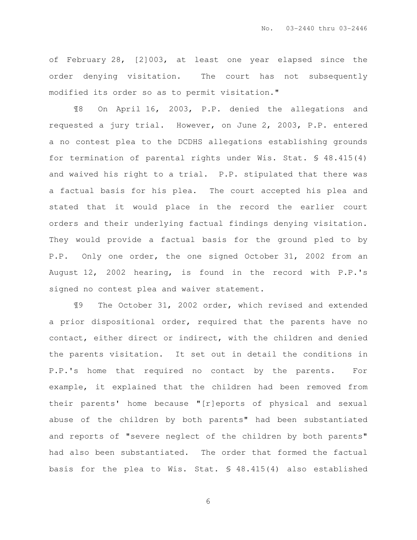of February 28, [2]003, at least one year elapsed since the order denying visitation. The court has not subsequently modified its order so as to permit visitation."

¶8 On April 16, 2003, P.P. denied the allegations and requested a jury trial. However, on June 2, 2003, P.P. entered a no contest plea to the DCDHS allegations establishing grounds for termination of parental rights under Wis. Stat. § 48.415(4) and waived his right to a trial. P.P. stipulated that there was a factual basis for his plea. The court accepted his plea and stated that it would place in the record the earlier court orders and their underlying factual findings denying visitation. They would provide a factual basis for the ground pled to by P.P. Only one order, the one signed October 31, 2002 from an August 12, 2002 hearing, is found in the record with P.P.'s signed no contest plea and waiver statement.

¶9 The October 31, 2002 order, which revised and extended a prior dispositional order, required that the parents have no contact, either direct or indirect, with the children and denied the parents visitation. It set out in detail the conditions in P.P.'s home that required no contact by the parents. For example, it explained that the children had been removed from their parents' home because "[r]eports of physical and sexual abuse of the children by both parents" had been substantiated and reports of "severe neglect of the children by both parents" had also been substantiated. The order that formed the factual basis for the plea to Wis. Stat. § 48.415(4) also established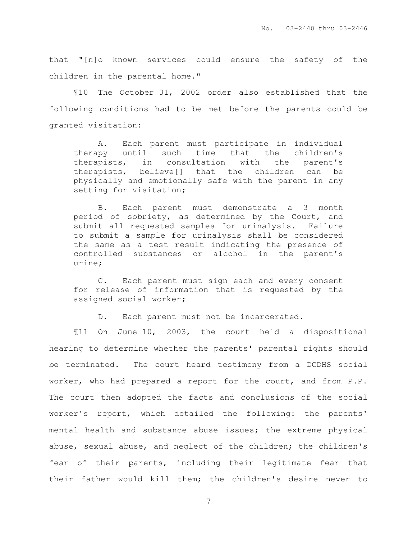that "[n]o known services could ensure the safety of the children in the parental home."

¶10 The October 31, 2002 order also established that the following conditions had to be met before the parents could be granted visitation:

A. Each parent must participate in individual therapy until such time that the children's therapists, in consultation with the parent's therapists, believe[] that the children can be physically and emotionally safe with the parent in any setting for visitation;

B. Each parent must demonstrate a 3 month period of sobriety, as determined by the Court, and submit all requested samples for urinalysis. Failure to submit a sample for urinalysis shall be considered the same as a test result indicating the presence of controlled substances or alcohol in the parent's urine;

C. Each parent must sign each and every consent for release of information that is requested by the assigned social worker;

D. Each parent must not be incarcerated.

¶11 On June 10, 2003, the court held a dispositional hearing to determine whether the parents' parental rights should be terminated. The court heard testimony from a DCDHS social worker, who had prepared a report for the court, and from P.P. The court then adopted the facts and conclusions of the social worker's report, which detailed the following: the parents' mental health and substance abuse issues; the extreme physical abuse, sexual abuse, and neglect of the children; the children's fear of their parents, including their legitimate fear that their father would kill them; the children's desire never to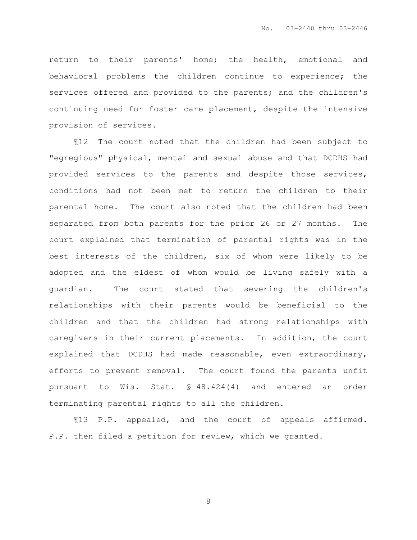return to their parents' home; the health, emotional and behavioral problems the children continue to experience; the services offered and provided to the parents; and the children's continuing need for foster care placement, despite the intensive provision of services.

¶12 The court noted that the children had been subject to "egregious" physical, mental and sexual abuse and that DCDHS had provided services to the parents and despite those services, conditions had not been met to return the children to their parental home. The court also noted that the children had been separated from both parents for the prior 26 or 27 months. The court explained that termination of parental rights was in the best interests of the children, six of whom were likely to be adopted and the eldest of whom would be living safely with a guardian. The court stated that severing the children's relationships with their parents would be beneficial to the children and that the children had strong relationships with caregivers in their current placements. In addition, the court explained that DCDHS had made reasonable, even extraordinary, efforts to prevent removal. The court found the parents unfit pursuant to Wis. Stat. § 48.424(4) and entered an order terminating parental rights to all the children.

¶13 P.P. appealed, and the court of appeals affirmed. P.P. then filed a petition for review, which we granted.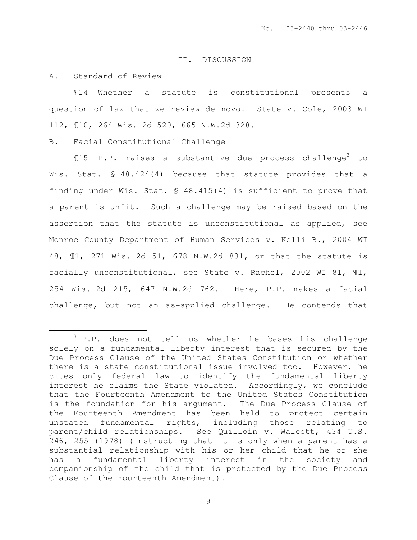#### II. DISCUSSION

A. Standard of Review

 $\overline{a}$ 

¶14 Whether a statute is constitutional presents a question of law that we review de novo. State v. Cole, 2003 WI 112, ¶10, 264 Wis. 2d 520, 665 N.W.2d 328.

B. Facial Constitutional Challenge

 $\texttt{N15}$  P.P. raises a substantive due process challenge<sup>3</sup> to Wis. Stat. § 48.424(4) because that statute provides that a finding under Wis. Stat. § 48.415(4) is sufficient to prove that a parent is unfit. Such a challenge may be raised based on the assertion that the statute is unconstitutional as applied, see Monroe County Department of Human Services v. Kelli B., 2004 WI 48, ¶1, 271 Wis. 2d 51, 678 N.W.2d 831, or that the statute is facially unconstitutional, see State v. Rachel, 2002 WI 81, ¶1, 254 Wis. 2d 215, 647 N.W.2d 762. Here, P.P. makes a facial challenge, but not an as-applied challenge. He contends that

<sup>3</sup> P.P. does not tell us whether he bases his challenge solely on a fundamental liberty interest that is secured by the Due Process Clause of the United States Constitution or whether there is a state constitutional issue involved too. However, he cites only federal law to identify the fundamental liberty interest he claims the State violated. Accordingly, we conclude that the Fourteenth Amendment to the United States Constitution is the foundation for his argument. The Due Process Clause of the Fourteenth Amendment has been held to protect certain unstated fundamental rights, including those relating to parent/child relationships. See Quilloin v. Walcott, 434 U.S. 246, 255 (1978) (instructing that it is only when a parent has a substantial relationship with his or her child that he or she has a fundamental liberty interest in the society and companionship of the child that is protected by the Due Process Clause of the Fourteenth Amendment).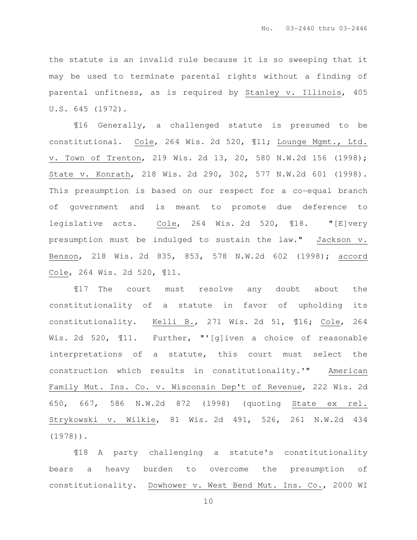the statute is an invalid rule because it is so sweeping that it may be used to terminate parental rights without a finding of parental unfitness, as is required by Stanley v. Illinois, 405 U.S. 645 (1972).

¶16 Generally, a challenged statute is presumed to be constitutional. Cole, 264 Wis. 2d 520, ¶11; Lounge Mgmt., Ltd. v. Town of Trenton, 219 Wis. 2d 13, 20, 580 N.W.2d 156 (1998); State v. Konrath, 218 Wis. 2d 290, 302, 577 N.W.2d 601 (1998). This presumption is based on our respect for a co-equal branch of government and is meant to promote due deference to legislative acts. Cole, 264 Wis. 2d 520, ¶18. "[E]very presumption must be indulged to sustain the law." Jackson v. Benson, 218 Wis. 2d 835, 853, 578 N.W.2d 602 (1998); accord Cole, 264 Wis. 2d 520, ¶11.

¶17 The court must resolve any doubt about the constitutionality of a statute in favor of upholding its constitutionality. Kelli B., 271 Wis. 2d 51, ¶16; Cole, 264 Wis. 2d 520,  $\text{11.}$  Further, "'[g]iven a choice of reasonable interpretations of a statute, this court must select the construction which results in constitutionality.'" American Family Mut. Ins. Co. v. Wisconsin Dep't of Revenue, 222 Wis. 2d 650, 667, 586 N.W.2d 872 (1998) (quoting State ex rel. Strykowski v. Wilkie, 81 Wis. 2d 491, 526, 261 N.W.2d 434 (1978)).

¶18 A party challenging a statute's constitutionality bears a heavy burden to overcome the presumption of constitutionality. Dowhower v. West Bend Mut. Ins. Co., 2000 WI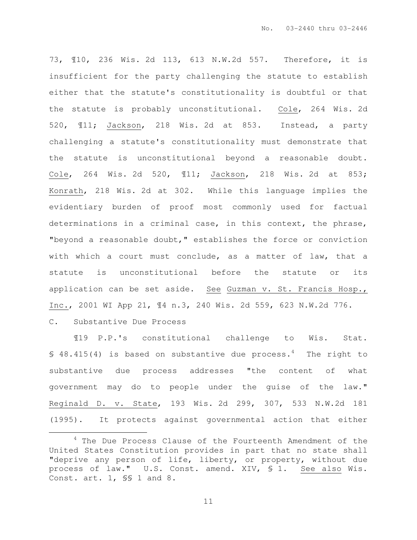73, ¶10, 236 Wis. 2d 113, 613 N.W.2d 557. Therefore, it is insufficient for the party challenging the statute to establish either that the statute's constitutionality is doubtful or that the statute is probably unconstitutional. Cole, 264 Wis. 2d 520, ¶11; Jackson, 218 Wis. 2d at 853. Instead, a party challenging a statute's constitutionality must demonstrate that the statute is unconstitutional beyond a reasonable doubt. Cole, 264 Wis. 2d 520, ¶11; Jackson, 218 Wis. 2d at 853; Konrath, 218 Wis. 2d at 302. While this language implies the evidentiary burden of proof most commonly used for factual determinations in a criminal case, in this context, the phrase, "beyond a reasonable doubt," establishes the force or conviction with which a court must conclude, as a matter of law, that a statute is unconstitutional before the statute or its application can be set aside. See Guzman v. St. Francis Hosp., Inc., 2001 WI App 21, ¶4 n.3, 240 Wis. 2d 559, 623 N.W.2d 776.

C. Substantive Due Process

l.

¶19 P.P.'s constitutional challenge to Wis. Stat. § 48.415(4) is based on substantive due process.<sup>4</sup> The right to substantive due process addresses "the content of what government may do to people under the guise of the law." Reginald D. v. State, 193 Wis. 2d 299, 307, 533 N.W.2d 181 (1995). It protects against governmental action that either

<sup>&</sup>lt;sup>4</sup> The Due Process Clause of the Fourteenth Amendment of the United States Constitution provides in part that no state shall "deprive any person of life, liberty, or property, without due process of law." U.S. Const. amend. XIV, § 1. See also Wis. Const. art. 1, §§ 1 and 8.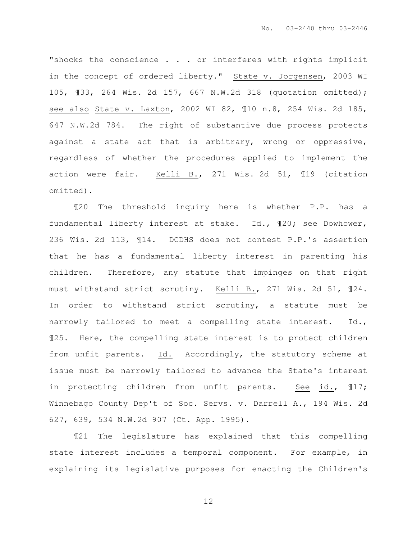"shocks the conscience . . . or interferes with rights implicit in the concept of ordered liberty." State v. Jorgensen, 2003 WI 105, ¶33, 264 Wis. 2d 157, 667 N.W.2d 318 (quotation omitted); see also State v. Laxton, 2002 WI 82, ¶10 n.8, 254 Wis. 2d 185, 647 N.W.2d 784. The right of substantive due process protects against a state act that is arbitrary, wrong or oppressive, regardless of whether the procedures applied to implement the action were fair. Kelli B., 271 Wis. 2d 51, ¶19 (citation omitted).

 ¶20 The threshold inquiry here is whether P.P. has a fundamental liberty interest at stake. Id., ¶20; see Dowhower, 236 Wis. 2d 113, ¶14. DCDHS does not contest P.P.'s assertion that he has a fundamental liberty interest in parenting his children. Therefore, any statute that impinges on that right must withstand strict scrutiny. Kelli B., 271 Wis. 2d 51, ¶24. In order to withstand strict scrutiny, a statute must be narrowly tailored to meet a compelling state interest. Id., ¶25. Here, the compelling state interest is to protect children from unfit parents. Id. Accordingly, the statutory scheme at issue must be narrowly tailored to advance the State's interest in protecting children from unfit parents. See id.,  $\text{I17}$ ; Winnebago County Dep't of Soc. Servs. v. Darrell A., 194 Wis. 2d 627, 639, 534 N.W.2d 907 (Ct. App. 1995).

¶21 The legislature has explained that this compelling state interest includes a temporal component. For example, in explaining its legislative purposes for enacting the Children's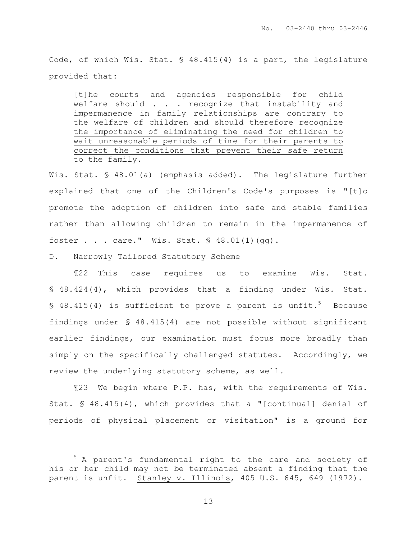Code, of which Wis. Stat. § 48.415(4) is a part, the legislature provided that:

[t]he courts and agencies responsible for child welfare should . . . recognize that instability and impermanence in family relationships are contrary to the welfare of children and should therefore recognize the importance of eliminating the need for children to wait unreasonable periods of time for their parents to correct the conditions that prevent their safe return to the family.

Wis. Stat. § 48.01(a) (emphasis added). The legislature further explained that one of the Children's Code's purposes is "[t]o promote the adoption of children into safe and stable families rather than allowing children to remain in the impermanence of foster . . . care." Wis. Stat. § 48.01(1)(gg).

D. Narrowly Tailored Statutory Scheme

 $\overline{a}$ 

¶22 This case requires us to examine Wis. Stat. § 48.424(4), which provides that a finding under Wis. Stat. § 48.415(4) is sufficient to prove a parent is unfit.<sup>5</sup> Because findings under § 48.415(4) are not possible without significant earlier findings, our examination must focus more broadly than simply on the specifically challenged statutes. Accordingly, we review the underlying statutory scheme, as well.

¶23 We begin where P.P. has, with the requirements of Wis. Stat. § 48.415(4), which provides that a "[continual] denial of periods of physical placement or visitation" is a ground for

<sup>5</sup> A parent's fundamental right to the care and society of his or her child may not be terminated absent a finding that the parent is unfit. Stanley v. Illinois, 405 U.S. 645, 649 (1972).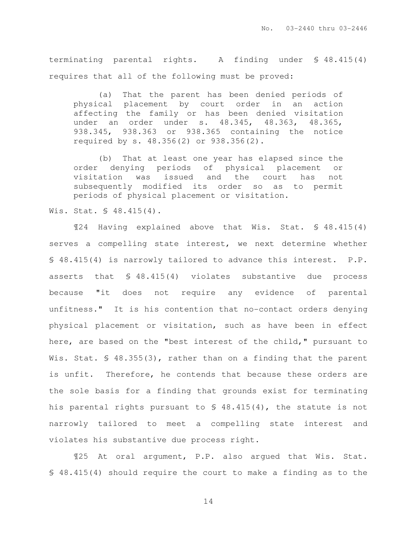terminating parental rights. A finding under § 48.415(4) requires that all of the following must be proved:

(a) That the parent has been denied periods of physical placement by court order in an action affecting the family or has been denied visitation under an order under s. 48.345, 48.363, 48.365, 938.345, 938.363 or 938.365 containing the notice required by s. 48.356(2) or 938.356(2).

(b) That at least one year has elapsed since the order denying periods of physical placement or visitation was issued and the court has not subsequently modified its order so as to permit periods of physical placement or visitation.

Wis. Stat. § 48.415(4).

¶24 Having explained above that Wis. Stat. § 48.415(4) serves a compelling state interest, we next determine whether § 48.415(4) is narrowly tailored to advance this interest. P.P. asserts that § 48.415(4) violates substantive due process because "it does not require any evidence of parental unfitness." It is his contention that no-contact orders denying physical placement or visitation, such as have been in effect here, are based on the "best interest of the child," pursuant to Wis. Stat. § 48.355(3), rather than on a finding that the parent is unfit. Therefore, he contends that because these orders are the sole basis for a finding that grounds exist for terminating his parental rights pursuant to § 48.415(4), the statute is not narrowly tailored to meet a compelling state interest and violates his substantive due process right.

¶25 At oral argument, P.P. also argued that Wis. Stat. § 48.415(4) should require the court to make a finding as to the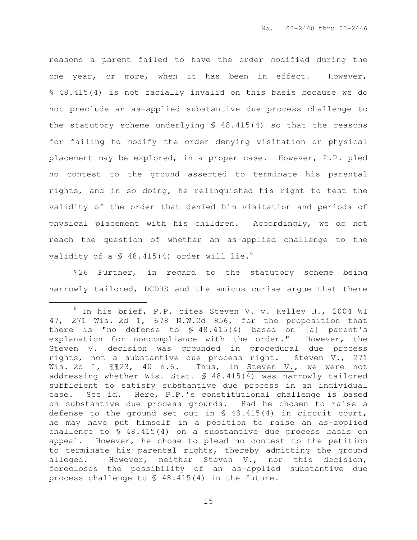reasons a parent failed to have the order modified during the one year, or more, when it has been in effect. However, § 48.415(4) is not facially invalid on this basis because we do not preclude an as-applied substantive due process challenge to the statutory scheme underlying § 48.415(4) so that the reasons for failing to modify the order denying visitation or physical placement may be explored, in a proper case. However, P.P. pled no contest to the ground asserted to terminate his parental rights, and in so doing, he relinquished his right to test the validity of the order that denied him visitation and periods of physical placement with his children. Accordingly, we do not reach the question of whether an as-applied challenge to the validity of a  $$$  48.415(4) order will lie.<sup>6</sup>

¶26 Further, in regard to the statutory scheme being narrowly tailored, DCDHS and the amicus curiae argue that there

l.

 $6$  In his brief, P.P. cites Steven V. v. Kelley H., 2004 WI 47, 271 Wis. 2d 1, 678 N.W.2d 856, for the proposition that there is "no defense to § 48.415(4) based on [a] parent's explanation for noncompliance with the order." However, the Steven V. decision was grounded in procedural due process rights, not a substantive due process right. Steven V., 271 Wis. 2d 1,  $\text{M123}$ , 40 n.6. Thus, in Steven V., we were not addressing whether Wis. Stat. § 48.415(4) was narrowly tailored sufficient to satisfy substantive due process in an individual case. See id. Here, P.P.'s constitutional challenge is based on substantive due process grounds. Had he chosen to raise a defense to the ground set out in § 48.415(4) in circuit court, he may have put himself in a position to raise an as-applied challenge to § 48.415(4) on a substantive due process basis on appeal. However, he chose to plead no contest to the petition to terminate his parental rights, thereby admitting the ground alleged. However, neither Steven V., nor this decision, forecloses the possibility of an as-applied substantive due process challenge to § 48.415(4) in the future.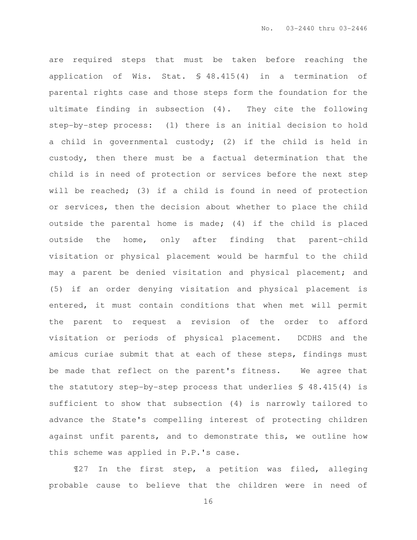are required steps that must be taken before reaching the application of Wis. Stat. § 48.415(4) in a termination of parental rights case and those steps form the foundation for the ultimate finding in subsection (4). They cite the following step-by-step process: (1) there is an initial decision to hold a child in governmental custody; (2) if the child is held in custody, then there must be a factual determination that the child is in need of protection or services before the next step will be reached; (3) if a child is found in need of protection or services, then the decision about whether to place the child outside the parental home is made; (4) if the child is placed outside the home, only after finding that parent–child visitation or physical placement would be harmful to the child may a parent be denied visitation and physical placement; and (5) if an order denying visitation and physical placement is entered, it must contain conditions that when met will permit the parent to request a revision of the order to afford visitation or periods of physical placement. DCDHS and the amicus curiae submit that at each of these steps, findings must be made that reflect on the parent's fitness. We agree that the statutory step-by-step process that underlies § 48.415(4) is sufficient to show that subsection (4) is narrowly tailored to advance the State's compelling interest of protecting children against unfit parents, and to demonstrate this, we outline how this scheme was applied in P.P.'s case.

¶27 In the first step, a petition was filed, alleging probable cause to believe that the children were in need of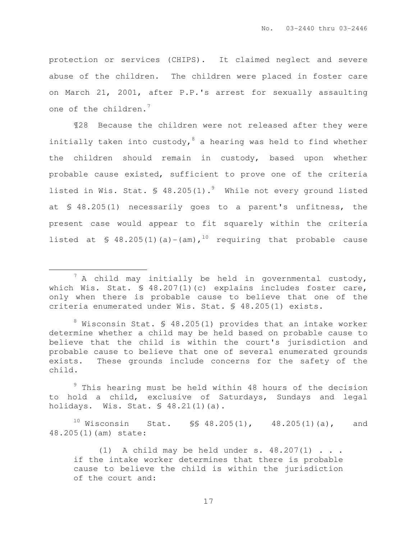protection or services (CHIPS). It claimed neglect and severe abuse of the children. The children were placed in foster care on March 21, 2001, after P.P.'s arrest for sexually assaulting one of the children.<sup>7</sup>

¶28 Because the children were not released after they were initially taken into custody,  $8$  a hearing was held to find whether the children should remain in custody, based upon whether probable cause existed, sufficient to prove one of the criteria listed in Wis. Stat.  $\frac{1}{2}$  48.205(1).<sup>9</sup> While not every ground listed at § 48.205(1) necessarily goes to a parent's unfitness, the present case would appear to fit squarely within the criteria listed at  $\frac{1}{5}$  48.205(1)(a)-(am),<sup>10</sup> requiring that probable cause

 $^7$  A child may initially be held in governmental custody, which Wis. Stat. § 48.207(1)(c) explains includes foster care, only when there is probable cause to believe that one of the criteria enumerated under Wis. Stat. § 48.205(1) exists.

 $8$  Wisconsin Stat. § 48.205(1) provides that an intake worker determine whether a child may be held based on probable cause to believe that the child is within the court's jurisdiction and probable cause to believe that one of several enumerated grounds exists. These grounds include concerns for the safety of the child.

 $9$  This hearing must be held within 48 hours of the decision to hold a child, exclusive of Saturdays, Sundays and legal holidays. Wis. Stat. § 48.21(1)(a).

 $10$  Wisconsin Stat.  $\frac{10}{5}$  48.205(1), 48.205(1)(a), and 48.205(1)(am) state:

<sup>(1)</sup> A child may be held under s.  $48.207(1)$  . . . if the intake worker determines that there is probable cause to believe the child is within the jurisdiction of the court and: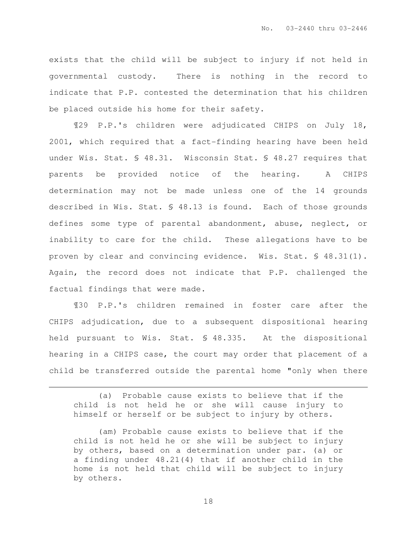exists that the child will be subject to injury if not held in governmental custody. There is nothing in the record to indicate that P.P. contested the determination that his children be placed outside his home for their safety.

¶29 P.P.'s children were adjudicated CHIPS on July 18, 2001, which required that a fact-finding hearing have been held under Wis. Stat. § 48.31. Wisconsin Stat. § 48.27 requires that parents be provided notice of the hearing. A CHIPS determination may not be made unless one of the 14 grounds described in Wis. Stat. § 48.13 is found. Each of those grounds defines some type of parental abandonment, abuse, neglect, or inability to care for the child. These allegations have to be proven by clear and convincing evidence. Wis. Stat. § 48.31(1). Again, the record does not indicate that P.P. challenged the factual findings that were made.

¶30 P.P.'s children remained in foster care after the CHIPS adjudication, due to a subsequent dispositional hearing held pursuant to Wis. Stat. § 48.335. At the dispositional hearing in a CHIPS case, the court may order that placement of a child be transferred outside the parental home "only when there

(a) Probable cause exists to believe that if the child is not held he or she will cause injury to himself or herself or be subject to injury by others.

l.

<sup>(</sup>am) Probable cause exists to believe that if the child is not held he or she will be subject to injury by others, based on a determination under par. (a) or a finding under 48.21(4) that if another child in the home is not held that child will be subject to injury by others.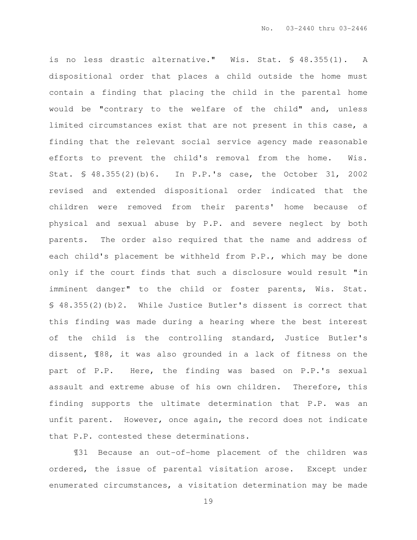is no less drastic alternative." Wis. Stat. § 48.355(1). A dispositional order that places a child outside the home must contain a finding that placing the child in the parental home would be "contrary to the welfare of the child" and, unless limited circumstances exist that are not present in this case, a finding that the relevant social service agency made reasonable efforts to prevent the child's removal from the home. Wis. Stat. § 48.355(2)(b)6. In P.P.'s case, the October 31, 2002 revised and extended dispositional order indicated that the children were removed from their parents' home because of physical and sexual abuse by P.P. and severe neglect by both parents. The order also required that the name and address of each child's placement be withheld from P.P., which may be done only if the court finds that such a disclosure would result "in imminent danger" to the child or foster parents, Wis. Stat. § 48.355(2)(b)2. While Justice Butler's dissent is correct that this finding was made during a hearing where the best interest of the child is the controlling standard, Justice Butler's dissent, ¶88, it was also grounded in a lack of fitness on the part of P.P. Here, the finding was based on P.P.'s sexual assault and extreme abuse of his own children. Therefore, this finding supports the ultimate determination that P.P. was an unfit parent. However, once again, the record does not indicate that P.P. contested these determinations.

¶31 Because an out-of-home placement of the children was ordered, the issue of parental visitation arose. Except under enumerated circumstances, a visitation determination may be made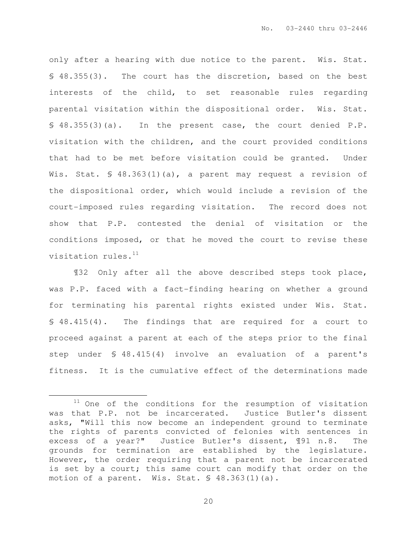only after a hearing with due notice to the parent. Wis. Stat. § 48.355(3). The court has the discretion, based on the best interests of the child, to set reasonable rules regarding parental visitation within the dispositional order. Wis. Stat. § 48.355(3)(a). In the present case, the court denied P.P. visitation with the children, and the court provided conditions that had to be met before visitation could be granted. Under Wis. Stat. § 48.363(1)(a), a parent may request a revision of the dispositional order, which would include a revision of the court-imposed rules regarding visitation. The record does not show that P.P. contested the denial of visitation or the conditions imposed, or that he moved the court to revise these visitation rules.<sup>11</sup>

¶32 Only after all the above described steps took place, was P.P. faced with a fact-finding hearing on whether a ground for terminating his parental rights existed under Wis. Stat. § 48.415(4). The findings that are required for a court to proceed against a parent at each of the steps prior to the final step under § 48.415(4) involve an evaluation of a parent's fitness. It is the cumulative effect of the determinations made

l.

 $11$  One of the conditions for the resumption of visitation was that P.P. not be incarcerated. Justice Butler's dissent asks, "Will this now become an independent ground to terminate the rights of parents convicted of felonies with sentences in excess of a year?" Justice Butler's dissent, ¶91 n.8. The grounds for termination are established by the legislature. However, the order requiring that a parent not be incarcerated is set by a court; this same court can modify that order on the motion of a parent. Wis. Stat. § 48.363(1)(a).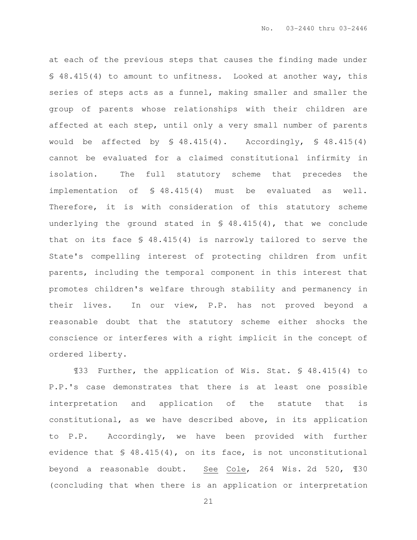at each of the previous steps that causes the finding made under § 48.415(4) to amount to unfitness. Looked at another way, this series of steps acts as a funnel, making smaller and smaller the group of parents whose relationships with their children are affected at each step, until only a very small number of parents would be affected by  $\$ 48.415(4)$ . Accordingly,  $\$ 48.415(4)$ cannot be evaluated for a claimed constitutional infirmity in isolation. The full statutory scheme that precedes the implementation of § 48.415(4) must be evaluated as well. Therefore, it is with consideration of this statutory scheme underlying the ground stated in  $\frac{1}{5}$  48.415(4), that we conclude that on its face § 48.415(4) is narrowly tailored to serve the State's compelling interest of protecting children from unfit parents, including the temporal component in this interest that promotes children's welfare through stability and permanency in their lives. In our view, P.P. has not proved beyond a reasonable doubt that the statutory scheme either shocks the conscience or interferes with a right implicit in the concept of ordered liberty.

¶33 Further, the application of Wis. Stat. § 48.415(4) to P.P.'s case demonstrates that there is at least one possible interpretation and application of the statute that is constitutional, as we have described above, in its application to P.P. Accordingly, we have been provided with further evidence that § 48.415(4), on its face, is not unconstitutional beyond a reasonable doubt. See Cole, 264 Wis. 2d 520, ¶30 (concluding that when there is an application or interpretation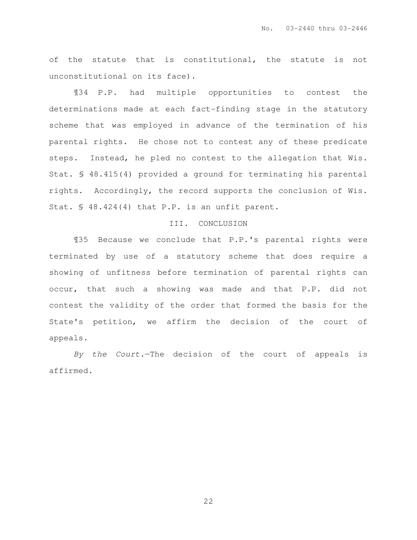of the statute that is constitutional, the statute is not unconstitutional on its face).

¶34 P.P. had multiple opportunities to contest the determinations made at each fact-finding stage in the statutory scheme that was employed in advance of the termination of his parental rights. He chose not to contest any of these predicate steps. Instead, he pled no contest to the allegation that Wis. Stat. § 48.415(4) provided a ground for terminating his parental rights. Accordingly, the record supports the conclusion of Wis. Stat. § 48.424(4) that P.P. is an unfit parent.

#### III. CONCLUSION

¶35 Because we conclude that P.P.'s parental rights were terminated by use of a statutory scheme that does require a showing of unfitness before termination of parental rights can occur, that such a showing was made and that P.P. did not contest the validity of the order that formed the basis for the State's petition, we affirm the decision of the court of appeals.

By the Court.—The decision of the court of appeals is affirmed.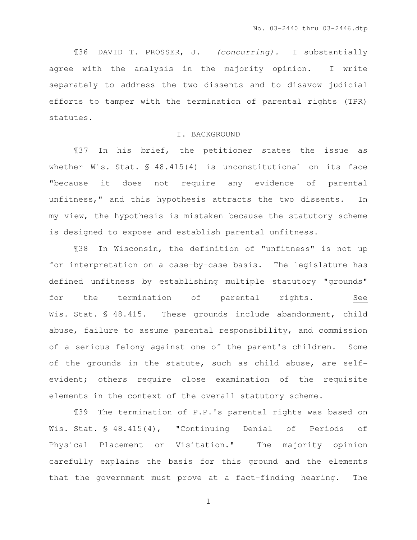¶36 DAVID T. PROSSER, J. (concurring). I substantially agree with the analysis in the majority opinion. I write separately to address the two dissents and to disavow judicial efforts to tamper with the termination of parental rights (TPR) statutes.

#### I. BACKGROUND

¶37 In his brief, the petitioner states the issue as whether Wis. Stat.  $$ 48.415(4)$  is unconstitutional on its face "because it does not require any evidence of parental unfitness," and this hypothesis attracts the two dissents. In my view, the hypothesis is mistaken because the statutory scheme is designed to expose and establish parental unfitness.

¶38 In Wisconsin, the definition of "unfitness" is not up for interpretation on a case-by-case basis. The legislature has defined unfitness by establishing multiple statutory "grounds" for the termination of parental rights. See Wis. Stat. § 48.415. These grounds include abandonment, child abuse, failure to assume parental responsibility, and commission of a serious felony against one of the parent's children. Some of the grounds in the statute, such as child abuse, are selfevident; others require close examination of the requisite elements in the context of the overall statutory scheme.

¶39 The termination of P.P.'s parental rights was based on Wis. Stat. § 48.415(4), "Continuing Denial of Periods of Physical Placement or Visitation." The majority opinion carefully explains the basis for this ground and the elements that the government must prove at a fact-finding hearing. The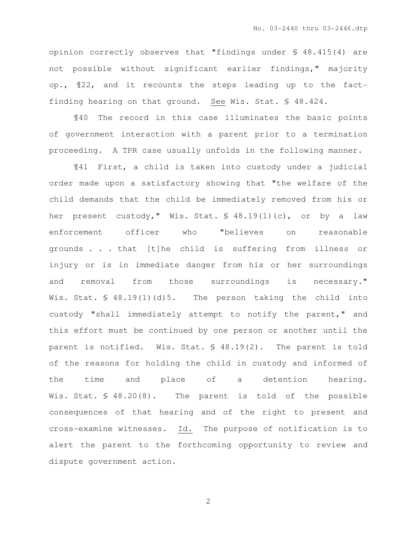opinion correctly observes that "findings under § 48.415(4) are not possible without significant earlier findings," majority op., ¶22, and it recounts the steps leading up to the factfinding hearing on that ground. See Wis. Stat. § 48.424.

¶40 The record in this case illuminates the basic points of government interaction with a parent prior to a termination proceeding. A TPR case usually unfolds in the following manner.

¶41 First, a child is taken into custody under a judicial order made upon a satisfactory showing that "the welfare of the child demands that the child be immediately removed from his or her present custody," Wis. Stat. § 48.19(1)(c), or by a law enforcement officer who "believes on reasonable grounds . . . that [t]he child is suffering from illness or injury or is in immediate danger from his or her surroundings and removal from those surroundings is necessary." Wis. Stat. § 48.19(1)(d)5. The person taking the child into custody "shall immediately attempt to notify the parent," and this effort must be continued by one person or another until the parent is notified. Wis. Stat. § 48.19(2). The parent is told of the reasons for holding the child in custody and informed of the time and place of a detention hearing. Wis. Stat. § 48.20(8). The parent is told of the possible consequences of that hearing and of the right to present and cross-examine witnesses. Id. The purpose of notification is to alert the parent to the forthcoming opportunity to review and dispute government action.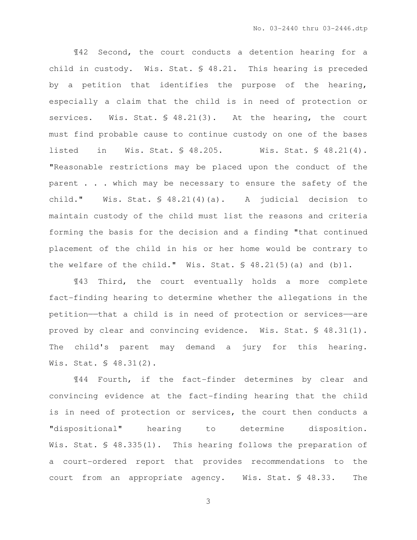¶42 Second, the court conducts a detention hearing for a child in custody. Wis. Stat. § 48.21. This hearing is preceded by a petition that identifies the purpose of the hearing, especially a claim that the child is in need of protection or services. Wis. Stat. § 48.21(3). At the hearing, the court must find probable cause to continue custody on one of the bases listed in Wis. Stat. § 48.205. Wis. Stat. § 48.21(4). "Reasonable restrictions may be placed upon the conduct of the parent . . . which may be necessary to ensure the safety of the child." Wis. Stat. § 48.21(4)(a). A judicial decision to maintain custody of the child must list the reasons and criteria forming the basis for the decision and a finding "that continued placement of the child in his or her home would be contrary to the welfare of the child." Wis. Stat. § 48.21(5)(a) and (b)1.

¶43 Third, the court eventually holds a more complete fact-finding hearing to determine whether the allegations in the petition——that a child is in need of protection or services——are proved by clear and convincing evidence. Wis. Stat. § 48.31(1). The child's parent may demand a jury for this hearing. Wis. Stat. § 48.31(2).

¶44 Fourth, if the fact-finder determines by clear and convincing evidence at the fact-finding hearing that the child is in need of protection or services, the court then conducts a "dispositional" hearing to determine disposition. Wis. Stat. § 48.335(1). This hearing follows the preparation of a court-ordered report that provides recommendations to the court from an appropriate agency. Wis. Stat. § 48.33. The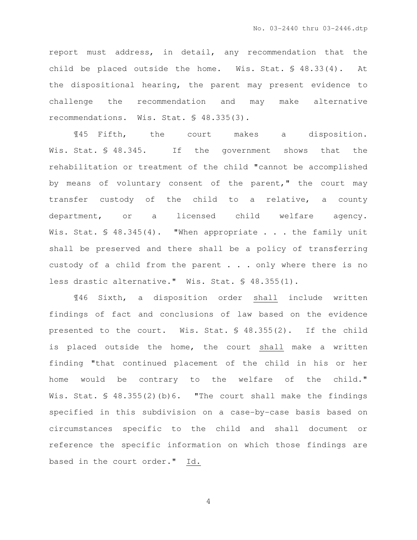report must address, in detail, any recommendation that the child be placed outside the home. Wis. Stat. § 48.33(4). At the dispositional hearing, the parent may present evidence to challenge the recommendation and may make alternative recommendations. Wis. Stat. § 48.335(3).

¶45 Fifth, the court makes a disposition. Wis. Stat. § 48.345. If the government shows that the rehabilitation or treatment of the child "cannot be accomplished by means of voluntary consent of the parent," the court may transfer custody of the child to a relative, a county department, or a licensed child welfare agency. Wis. Stat. § 48.345(4). "When appropriate . . . the family unit shall be preserved and there shall be a policy of transferring custody of a child from the parent . . . only where there is no less drastic alternative." Wis. Stat. § 48.355(1).

¶46 Sixth, a disposition order shall include written findings of fact and conclusions of law based on the evidence presented to the court. Wis. Stat. § 48.355(2). If the child is placed outside the home, the court shall make a written finding "that continued placement of the child in his or her home would be contrary to the welfare of the child." Wis. Stat. § 48.355(2)(b)6. "The court shall make the findings specified in this subdivision on a case-by-case basis based on circumstances specific to the child and shall document or reference the specific information on which those findings are based in the court order." Id.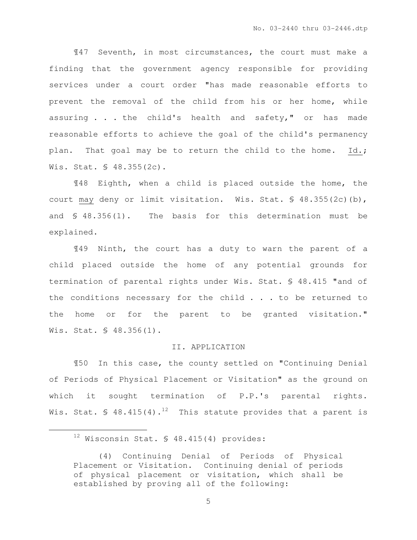¶47 Seventh, in most circumstances, the court must make a finding that the government agency responsible for providing services under a court order "has made reasonable efforts to prevent the removal of the child from his or her home, while assuring . . . the child's health and safety," or has made reasonable efforts to achieve the goal of the child's permanency plan. That goal may be to return the child to the home. Id.; Wis. Stat. § 48.355(2c).

¶48 Eighth, when a child is placed outside the home, the court may deny or limit visitation. Wis. Stat.  $\S$  48.355(2c)(b), and § 48.356(1). The basis for this determination must be explained.

¶49 Ninth, the court has a duty to warn the parent of a child placed outside the home of any potential grounds for termination of parental rights under Wis. Stat. § 48.415 "and of the conditions necessary for the child . . . to be returned to the home or for the parent to be granted visitation." Wis. Stat. § 48.356(1).

# II. APPLICATION

 ¶50 In this case, the county settled on "Continuing Denial of Periods of Physical Placement or Visitation" as the ground on which it sought termination of P.P.'s parental rights. Wis. Stat. § 48.415(4).<sup>12</sup> This statute provides that a parent is

l.

<sup>&</sup>lt;sup>12</sup> Wisconsin Stat. § 48.415(4) provides:

 <sup>(4)</sup> Continuing Denial of Periods of Physical Placement or Visitation. Continuing denial of periods of physical placement or visitation, which shall be established by proving all of the following: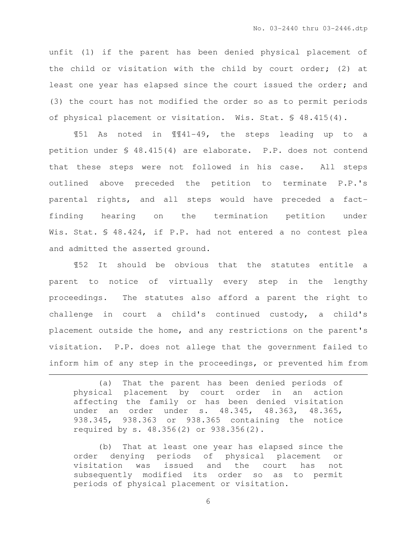unfit (1) if the parent has been denied physical placement of the child or visitation with the child by court order; (2) at least one year has elapsed since the court issued the order; and (3) the court has not modified the order so as to permit periods of physical placement or visitation. Wis. Stat. § 48.415(4).

 ¶51 As noted in ¶¶41-49, the steps leading up to a petition under § 48.415(4) are elaborate. P.P. does not contend that these steps were not followed in his case. All steps outlined above preceded the petition to terminate P.P.'s parental rights, and all steps would have preceded a factfinding hearing on the termination petition under Wis. Stat. § 48.424, if P.P. had not entered a no contest plea and admitted the asserted ground.

 ¶52 It should be obvious that the statutes entitle a parent to notice of virtually every step in the lengthy proceedings. The statutes also afford a parent the right to challenge in court a child's continued custody, a child's placement outside the home, and any restrictions on the parent's visitation. P.P. does not allege that the government failed to inform him of any step in the proceedings, or prevented him from

 (a) That the parent has been denied periods of physical placement by court order in an action affecting the family or has been denied visitation under an order under s. 48.345, 48.363, 48.365, 938.345, 938.363 or 938.365 containing the notice required by s. 48.356(2) or 938.356(2).

 $\overline{a}$ 

 (b) That at least one year has elapsed since the order denying periods of physical placement or visitation was issued and the court has not subsequently modified its order so as to permit periods of physical placement or visitation.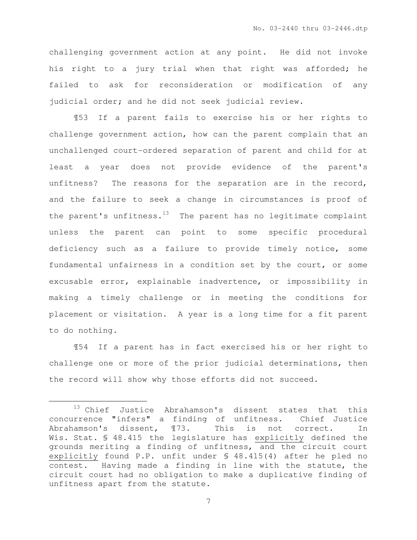challenging government action at any point. He did not invoke his right to a jury trial when that right was afforded; he failed to ask for reconsideration or modification of any judicial order; and he did not seek judicial review.

¶53 If a parent fails to exercise his or her rights to challenge government action, how can the parent complain that an unchallenged court-ordered separation of parent and child for at least a year does not provide evidence of the parent's unfitness? The reasons for the separation are in the record, and the failure to seek a change in circumstances is proof of the parent's unfitness. $^{13}$  The parent has no legitimate complaint unless the parent can point to some specific procedural deficiency such as a failure to provide timely notice, some fundamental unfairness in a condition set by the court, or some excusable error, explainable inadvertence, or impossibility in making a timely challenge or in meeting the conditions for placement or visitation. A year is a long time for a fit parent to do nothing.

¶54 If a parent has in fact exercised his or her right to challenge one or more of the prior judicial determinations, then the record will show why those efforts did not succeed.

<sup>13</sup> Chief Justice Abrahamson's dissent states that this concurrence "infers" a finding of unfitness. Chief Justice Abrahamson's dissent, ¶73. This is not correct. In Wis. Stat. § 48.415 the legislature has explicitly defined the grounds meriting a finding of unfitness, and the circuit court explicitly found P.P. unfit under § 48.415(4) after he pled no contest. Having made a finding in line with the statute, the circuit court had no obligation to make a duplicative finding of unfitness apart from the statute.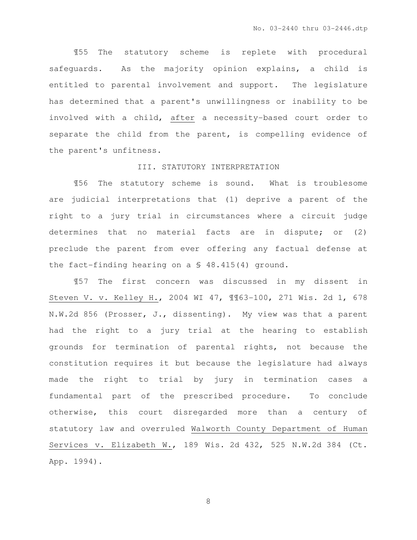¶55 The statutory scheme is replete with procedural safeguards. As the majority opinion explains, a child is entitled to parental involvement and support. The legislature has determined that a parent's unwillingness or inability to be involved with a child, after a necessity-based court order to separate the child from the parent, is compelling evidence of the parent's unfitness.

## III. STATUTORY INTERPRETATION

¶56 The statutory scheme is sound. What is troublesome are judicial interpretations that (1) deprive a parent of the right to a jury trial in circumstances where a circuit judge determines that no material facts are in dispute; or (2) preclude the parent from ever offering any factual defense at the fact-finding hearing on a § 48.415(4) ground.

¶57 The first concern was discussed in my dissent in Steven V. v. Kelley H., 2004 WI 47, ¶¶63-100, 271 Wis. 2d 1, 678 N.W.2d 856 (Prosser, J., dissenting). My view was that a parent had the right to a jury trial at the hearing to establish grounds for termination of parental rights, not because the constitution requires it but because the legislature had always made the right to trial by jury in termination cases a fundamental part of the prescribed procedure. To conclude otherwise, this court disregarded more than a century of statutory law and overruled Walworth County Department of Human Services v. Elizabeth W., 189 Wis. 2d 432, 525 N.W.2d 384 (Ct. App. 1994).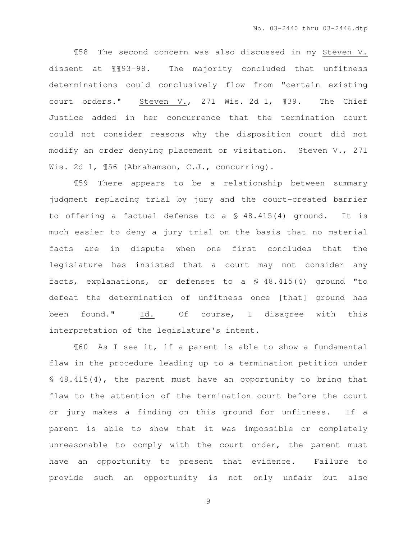¶58 The second concern was also discussed in my Steven V. dissent at ¶¶93-98. The majority concluded that unfitness determinations could conclusively flow from "certain existing court orders." Steven V., 271 Wis. 2d 1, ¶39. The Chief Justice added in her concurrence that the termination court could not consider reasons why the disposition court did not modify an order denying placement or visitation. Steven V., 271 Wis. 2d 1, 156 (Abrahamson, C.J., concurring).

¶59 There appears to be a relationship between summary judgment replacing trial by jury and the court-created barrier to offering a factual defense to a § 48.415(4) ground. It is much easier to deny a jury trial on the basis that no material facts are in dispute when one first concludes that the legislature has insisted that a court may not consider any facts, explanations, or defenses to a § 48.415(4) ground "to defeat the determination of unfitness once [that] ground has been found." Id. Of course, I disagree with this interpretation of the legislature's intent.

¶60 As I see it, if a parent is able to show a fundamental flaw in the procedure leading up to a termination petition under § 48.415(4), the parent must have an opportunity to bring that flaw to the attention of the termination court before the court or jury makes a finding on this ground for unfitness. If a parent is able to show that it was impossible or completely unreasonable to comply with the court order, the parent must have an opportunity to present that evidence. Failure to provide such an opportunity is not only unfair but also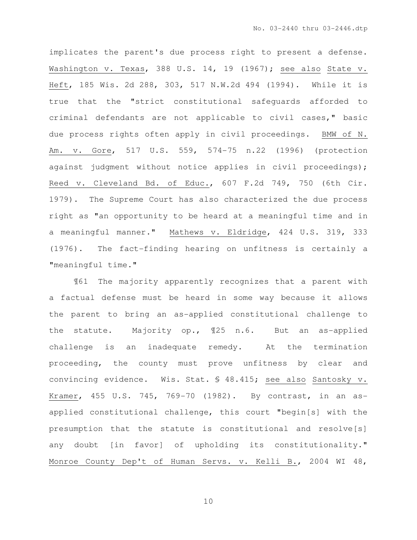implicates the parent's due process right to present a defense. Washington v. Texas, 388 U.S. 14, 19 (1967); see also State v. Heft, 185 Wis. 2d 288, 303, 517 N.W.2d 494 (1994). While it is true that the "strict constitutional safeguards afforded to criminal defendants are not applicable to civil cases," basic due process rights often apply in civil proceedings. BMW of N. Am. v. Gore, 517 U.S. 559, 574-75 n.22 (1996) (protection against judgment without notice applies in civil proceedings); Reed v. Cleveland Bd. of Educ., 607 F.2d 749, 750 (6th Cir. 1979). The Supreme Court has also characterized the due process right as "an opportunity to be heard at a meaningful time and in a meaningful manner." Mathews v. Eldridge, 424 U.S. 319, 333 (1976). The fact-finding hearing on unfitness is certainly a "meaningful time."

¶61 The majority apparently recognizes that a parent with a factual defense must be heard in some way because it allows the parent to bring an as-applied constitutional challenge to the statute. Majority op., ¶25 n.6. But an as-applied challenge is an inadequate remedy. At the termination proceeding, the county must prove unfitness by clear and convincing evidence. Wis. Stat. § 48.415; see also Santosky v. Kramer, 455 U.S. 745, 769-70 (1982). By contrast, in an asapplied constitutional challenge, this court "begin[s] with the presumption that the statute is constitutional and resolve[s] any doubt [in favor] of upholding its constitutionality." Monroe County Dep't of Human Servs. v. Kelli B., 2004 WI 48,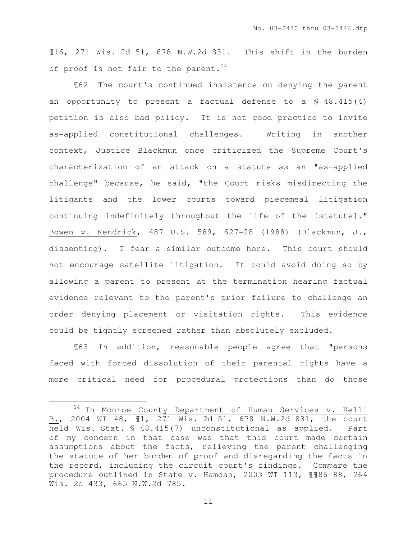¶16, 271 Wis. 2d 51, 678 N.W.2d 831. This shift in the burden of proof is not fair to the parent.<sup>14</sup>

¶62 The court's continued insistence on denying the parent an opportunity to present a factual defense to a  $$48.415(4)$ petition is also bad policy. It is not good practice to invite as-applied constitutional challenges. Writing in another context, Justice Blackmun once criticized the Supreme Court's characterization of an attack on a statute as an "as-applied challenge" because, he said, "the Court risks misdirecting the litigants and the lower courts toward piecemeal litigation continuing indefinitely throughout the life of the [statute]." Bowen v. Kendrick, 487 U.S. 589, 627-28 (1988) (Blackmun, J., dissenting). I fear a similar outcome here. This court should not encourage satellite litigation. It could avoid doing so by allowing a parent to present at the termination hearing factual evidence relevant to the parent's prior failure to challenge an order denying placement or visitation rights. This evidence could be tightly screened rather than absolutely excluded.

¶63 In addition, reasonable people agree that "persons faced with forced dissolution of their parental rights have a more critical need for procedural protections than do those

<sup>14</sup> In Monroe County Department of Human Services v. Kelli B., 2004 WI 48, ¶1, 271 Wis. 2d 51, 678 N.W.2d 831, the court held Wis. Stat. § 48.415(7) unconstitutional as applied. Part of my concern in that case was that this court made certain assumptions about the facts, relieving the parent challenging the statute of her burden of proof and disregarding the facts in the record, including the circuit court's findings. Compare the procedure outlined in State v. Hamdan, 2003 WI 113, ¶¶86-88, 264 Wis. 2d 433, 665 N.W.2d 785.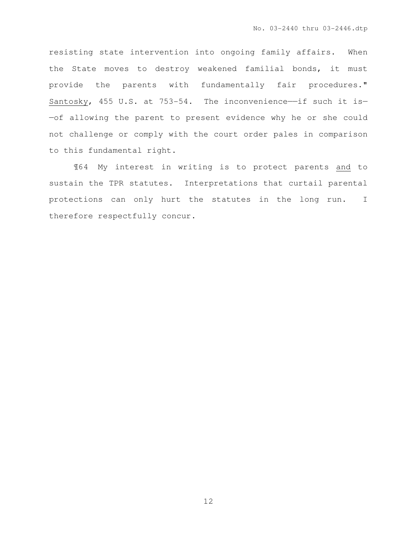resisting state intervention into ongoing family affairs. When the State moves to destroy weakened familial bonds, it must provide the parents with fundamentally fair procedures." Santosky, 455 U.S. at 753-54. The inconvenience—if such it is-—of allowing the parent to present evidence why he or she could not challenge or comply with the court order pales in comparison to this fundamental right.

¶64 My interest in writing is to protect parents and to sustain the TPR statutes. Interpretations that curtail parental protections can only hurt the statutes in the long run. I therefore respectfully concur.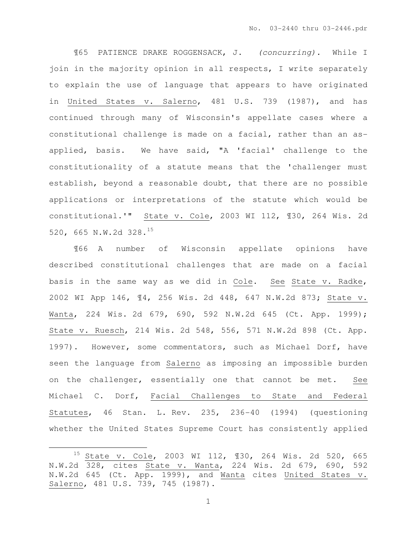¶65 PATIENCE DRAKE ROGGENSACK, J. (concurring). While I join in the majority opinion in all respects, I write separately to explain the use of language that appears to have originated in United States v. Salerno, 481 U.S. 739 (1987), and has continued through many of Wisconsin's appellate cases where a constitutional challenge is made on a facial, rather than an asapplied, basis. We have said, "A 'facial' challenge to the constitutionality of a statute means that the 'challenger must establish, beyond a reasonable doubt, that there are no possible applications or interpretations of the statute which would be constitutional.'" State v. Cole, 2003 WI 112, ¶30, 264 Wis. 2d 520, 665 N.W.2d 328.<sup>15</sup>

¶66 A number of Wisconsin appellate opinions have described constitutional challenges that are made on a facial basis in the same way as we did in Cole. See State v. Radke, 2002 WI App 146, ¶4, 256 Wis. 2d 448, 647 N.W.2d 873; State v. Wanta, 224 Wis. 2d 679, 690, 592 N.W.2d 645 (Ct. App. 1999); State v. Ruesch, 214 Wis. 2d 548, 556, 571 N.W.2d 898 (Ct. App. 1997). However, some commentators, such as Michael Dorf, have seen the language from Salerno as imposing an impossible burden on the challenger, essentially one that cannot be met. See Michael C. Dorf, Facial Challenges to State and Federal Statutes, 46 Stan. L. Rev. 235, 236-40 (1994) (questioning whether the United States Supreme Court has consistently applied

 $\overline{a}$ 

<sup>15</sup> State v. Cole, 2003 WI 112, ¶30, 264 Wis. 2d 520, 665 N.W.2d 328, cites State v. Wanta, 224 Wis. 2d 679, 690, 592 N.W.2d 645 (Ct. App. 1999), and Wanta cites United States v. Salerno, 481 U.S. 739, 745 (1987).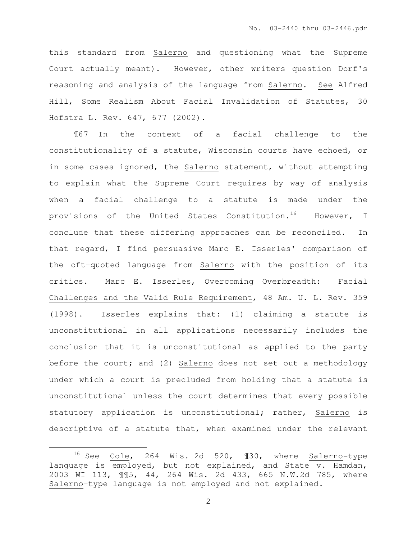this standard from Salerno and questioning what the Supreme Court actually meant). However, other writers question Dorf's reasoning and analysis of the language from Salerno. See Alfred Hill, Some Realism About Facial Invalidation of Statutes, 30 Hofstra L. Rev. 647, 677 (2002).

¶67 In the context of a facial challenge to the constitutionality of a statute, Wisconsin courts have echoed, or in some cases ignored, the Salerno statement, without attempting to explain what the Supreme Court requires by way of analysis when a facial challenge to a statute is made under the provisions of the United States Constitution.<sup>16</sup> However, I conclude that these differing approaches can be reconciled. In that regard, I find persuasive Marc E. Isserles' comparison of the oft-quoted language from Salerno with the position of its critics. Marc E. Isserles, Overcoming Overbreadth: Facial Challenges and the Valid Rule Requirement, 48 Am. U. L. Rev. 359 (1998). Isserles explains that: (1) claiming a statute is unconstitutional in all applications necessarily includes the conclusion that it is unconstitutional as applied to the party before the court; and (2) Salerno does not set out a methodology under which a court is precluded from holding that a statute is unconstitutional unless the court determines that every possible statutory application is unconstitutional; rather, Salerno is descriptive of a statute that, when examined under the relevant

 $\overline{a}$ 

<sup>&</sup>lt;sup>16</sup> See Cole, 264 Wis. 2d 520, 130, where Salerno-type language is employed, but not explained, and State v. Hamdan, 2003 WI 113, ¶¶5, 44, 264 Wis. 2d 433, 665 N.W.2d 785, where Salerno-type language is not employed and not explained.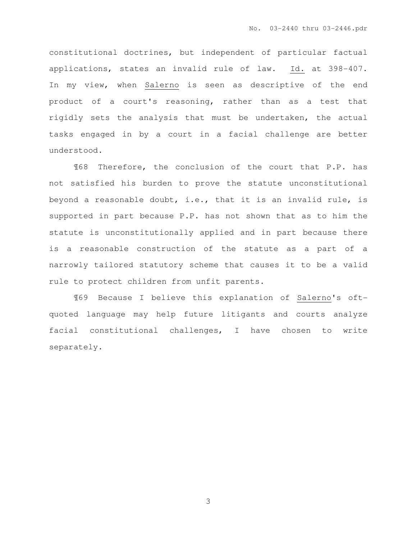constitutional doctrines, but independent of particular factual applications, states an invalid rule of law. Id. at 398-407. In my view, when Salerno is seen as descriptive of the end product of a court's reasoning, rather than as a test that rigidly sets the analysis that must be undertaken, the actual tasks engaged in by a court in a facial challenge are better understood.

¶68 Therefore, the conclusion of the court that P.P. has not satisfied his burden to prove the statute unconstitutional beyond a reasonable doubt, i.e., that it is an invalid rule, is supported in part because P.P. has not shown that as to him the statute is unconstitutionally applied and in part because there is a reasonable construction of the statute as a part of a narrowly tailored statutory scheme that causes it to be a valid rule to protect children from unfit parents.

¶69 Because I believe this explanation of Salerno's oftquoted language may help future litigants and courts analyze facial constitutional challenges, I have chosen to write separately.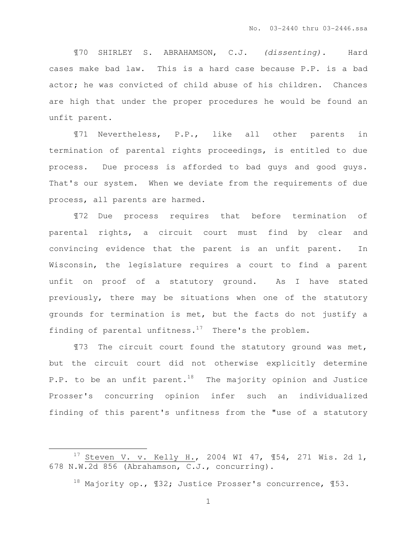¶70 SHIRLEY S. ABRAHAMSON, C.J. (dissenting). Hard cases make bad law. This is a hard case because P.P. is a bad actor; he was convicted of child abuse of his children. Chances are high that under the proper procedures he would be found an unfit parent.

¶71 Nevertheless, P.P., like all other parents in termination of parental rights proceedings, is entitled to due process. Due process is afforded to bad guys and good guys. That's our system. When we deviate from the requirements of due process, all parents are harmed.

¶72 Due process requires that before termination of parental rights, a circuit court must find by clear and convincing evidence that the parent is an unfit parent. In Wisconsin, the legislature requires a court to find a parent unfit on proof of a statutory ground. As I have stated previously, there may be situations when one of the statutory grounds for termination is met, but the facts do not justify a finding of parental unfitness.<sup>17</sup> There's the problem.

¶73 The circuit court found the statutory ground was met, but the circuit court did not otherwise explicitly determine P.P. to be an unfit parent.<sup>18</sup> The majority opinion and Justice Prosser's concurring opinion infer such an individualized finding of this parent's unfitness from the "use of a statutory

 $\overline{a}$ 

<sup>&</sup>lt;sup>17</sup> Steven V. v. Ke $\underline{11y}$  H., 2004 WI 47, ¶54, 271 Wis. 2d 1, 678 N.W.2d 856 (Abrahamson, C.J., concurring).

 $18$  Majority op.,  $132$ ; Justice Prosser's concurrence,  $153$ .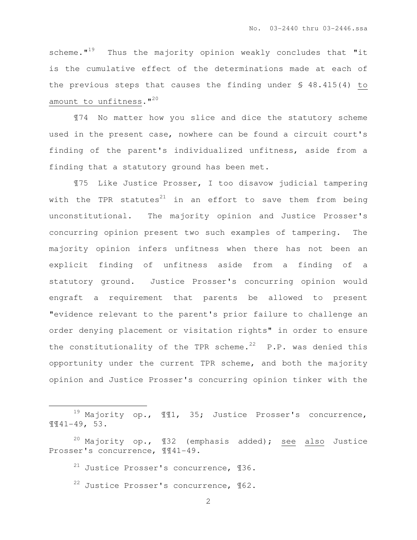scheme. $1^{19}$  Thus the majority opinion weakly concludes that "it is the cumulative effect of the determinations made at each of the previous steps that causes the finding under § 48.415(4) to amount to unfitness. "20

¶74 No matter how you slice and dice the statutory scheme used in the present case, nowhere can be found a circuit court's finding of the parent's individualized unfitness, aside from a finding that a statutory ground has been met.

¶75 Like Justice Prosser, I too disavow judicial tampering with the TPR statutes $^{21}$  in an effort to save them from being unconstitutional. The majority opinion and Justice Prosser's concurring opinion present two such examples of tampering. The majority opinion infers unfitness when there has not been an explicit finding of unfitness aside from a finding of a statutory ground. Justice Prosser's concurring opinion would engraft a requirement that parents be allowed to present "evidence relevant to the parent's prior failure to challenge an order denying placement or visitation rights" in order to ensure the constitutionality of the TPR scheme.<sup>22</sup> P.P. was denied this opportunity under the current TPR scheme, and both the majority opinion and Justice Prosser's concurring opinion tinker with the

<sup>19</sup> Majority op., ¶¶1, 35; Justice Prosser's concurrence, ¶¶41-49, 53.

<sup>&</sup>lt;sup>20</sup> Majority op.,  $\sqrt{132}$  (emphasis added); <u>see also</u> Justice Prosser's concurrence, ¶¶41-49.

 $21$  Justice Prosser's concurrence, 136.

 $22$  Justice Prosser's concurrence, 162.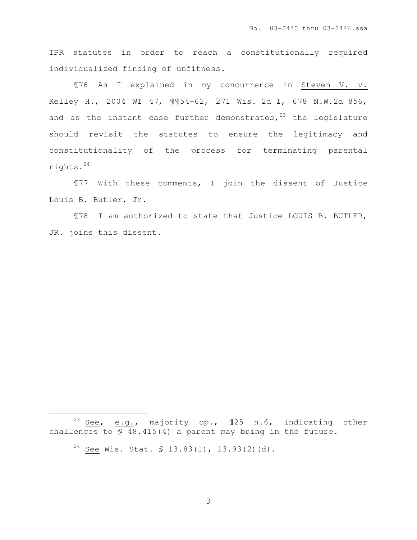TPR statutes in order to reach a constitutionally required individualized finding of unfitness.

¶76 As I explained in my concurrence in Steven V. v. Kelley H., 2004 WI 47, ¶¶54-62, 271 Wis. 2d 1, 678 N.W.2d 856, and as the instant case further demonstrates,  $23$  the legislature should revisit the statutes to ensure the legitimacy and constitutionality of the process for terminating parental rights.<sup>24</sup>

¶77 With these comments, I join the dissent of Justice Louis B. Butler, Jr.

¶78 I am authorized to state that Justice LOUIS B. BUTLER, JR. joins this dissent.

 $23 \text{ See}$ , e.g., majority op.,  $125 \text{ n.6}$ , indicating other challenges to § 48.415(4) a parent may bring in the future.

 $24$  See Wis. Stat. § 13.83(1), 13.93(2)(d).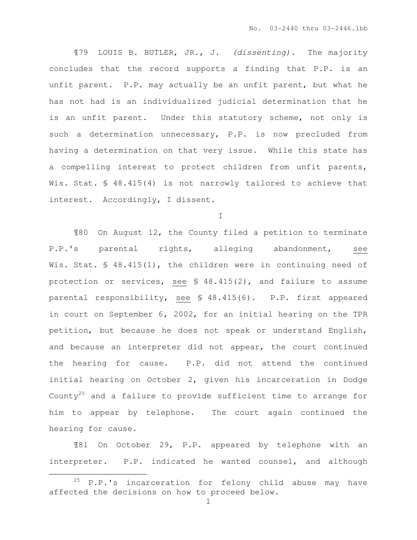¶79 LOUIS B. BUTLER, JR., J. (dissenting). The majority concludes that the record supports a finding that P.P. is an unfit parent. P.P. may actually be an unfit parent, but what he has not had is an individualized judicial determination that he is an unfit parent. Under this statutory scheme, not only is such a determination unnecessary, P.P. is now precluded from having a determination on that very issue. While this state has a compelling interest to protect children from unfit parents, Wis. Stat. § 48.415(4) is not narrowly tailored to achieve that interest. Accordingly, I dissent.

 $\mathsf{T}$ 

¶80 On August 12, the County filed a petition to terminate P.P.'s parental rights, alleging abandonment, see Wis. Stat. § 48.415(1), the children were in continuing need of protection or services, see § 48.415(2), and failure to assume parental responsibility, see § 48.415(6). P.P. first appeared in court on September 6, 2002, for an initial hearing on the TPR petition, but because he does not speak or understand English, and because an interpreter did not appear, the court continued the hearing for cause. P.P. did not attend the continued initial hearing on October 2, given his incarceration in Dodge County<sup>25</sup> and a failure to provide sufficient time to arrange for him to appear by telephone. The court again continued the hearing for cause.

¶81 On October 29, P.P. appeared by telephone with an interpreter. P.P. indicated he wanted counsel, and although

 $25$  P.P.'s incarceration for felony child abuse may have affected the decisions on how to proceed below.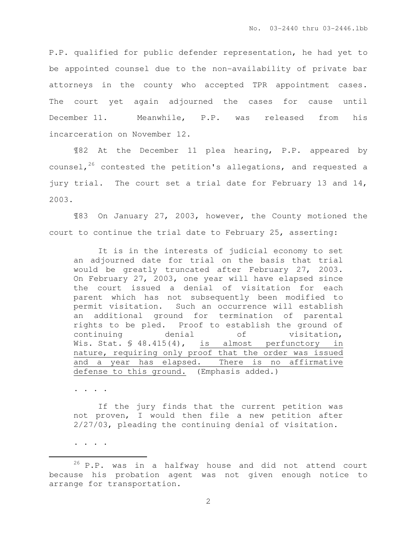P.P. qualified for public defender representation, he had yet to be appointed counsel due to the non-availability of private bar attorneys in the county who accepted TPR appointment cases. The court yet again adjourned the cases for cause until December 11. Meanwhile, P.P. was released from his incarceration on November 12.

¶82 At the December 11 plea hearing, P.P. appeared by counsel,  $26$  contested the petition's allegations, and requested a jury trial. The court set a trial date for February 13 and 14, 2003.

¶83 On January 27, 2003, however, the County motioned the court to continue the trial date to February 25, asserting:

It is in the interests of judicial economy to set an adjourned date for trial on the basis that trial would be greatly truncated after February 27, 2003. On February 27, 2003, one year will have elapsed since the court issued a denial of visitation for each parent which has not subsequently been modified to permit visitation. Such an occurrence will establish an additional ground for termination of parental rights to be pled. Proof to establish the ground of continuing denial of visitation, Wis. Stat. § 48.415(4), is almost perfunctory in nature, requiring only proof that the order was issued and a year has elapsed. There is no affirmative defense to this ground. (Emphasis added.)

. . . .

If the jury finds that the current petition was not proven, I would then file a new petition after 2/27/03, pleading the continuing denial of visitation.

. . . .

 $\overline{a}$ 

 $26$  P.P. was in a halfway house and did not attend court because his probation agent was not given enough notice to arrange for transportation.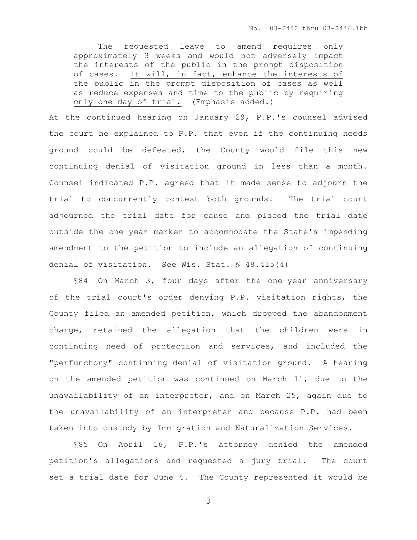No. 03-2440 thru 03-2446.lbb

The requested leave to amend requires only approximately 3 weeks and would not adversely impact the interests of the public in the prompt disposition of cases. It will, in fact, enhance the interests of the public in the prompt disposition of cases as well as reduce expenses and time to the public by requiring only one day of trial. (Emphasis added.)

At the continued hearing on January 29, P.P.'s counsel advised the court he explained to P.P. that even if the continuing needs ground could be defeated, the County would file this new continuing denial of visitation ground in less than a month. Counsel indicated P.P. agreed that it made sense to adjourn the trial to concurrently contest both grounds. The trial court adjourned the trial date for cause and placed the trial date outside the one-year marker to accommodate the State's impending amendment to the petition to include an allegation of continuing denial of visitation. See Wis. Stat. § 48.415(4)

¶84 On March 3, four days after the one-year anniversary of the trial court's order denying P.P. visitation rights, the County filed an amended petition, which dropped the abandonment charge, retained the allegation that the children were in continuing need of protection and services, and included the "perfunctory" continuing denial of visitation ground. A hearing on the amended petition was continued on March 11, due to the unavailability of an interpreter, and on March 25, again due to the unavailability of an interpreter and because P.P. had been taken into custody by Immigration and Naturalization Services.

¶85 On April 16, P.P.'s attorney denied the amended petition's allegations and requested a jury trial. The court set a trial date for June 4. The County represented it would be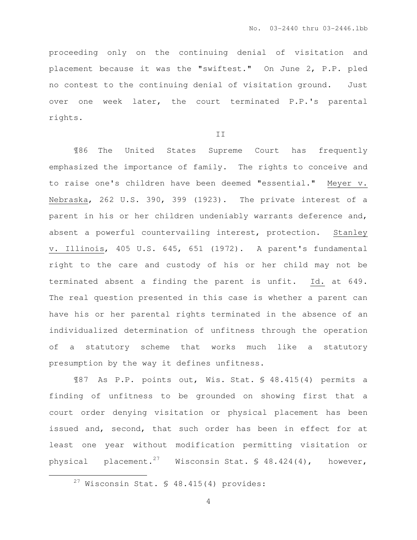proceeding only on the continuing denial of visitation and placement because it was the "swiftest." On June 2, P.P. pled no contest to the continuing denial of visitation ground. Just over one week later, the court terminated P.P.'s parental rights.

II

¶86 The United States Supreme Court has frequently emphasized the importance of family. The rights to conceive and to raise one's children have been deemed "essential." Meyer v. Nebraska, 262 U.S. 390, 399 (1923). The private interest of a parent in his or her children undeniably warrants deference and, absent a powerful countervailing interest, protection. Stanley v. Illinois, 405 U.S. 645, 651 (1972). A parent's fundamental right to the care and custody of his or her child may not be terminated absent a finding the parent is unfit. Id. at 649. The real question presented in this case is whether a parent can have his or her parental rights terminated in the absence of an individualized determination of unfitness through the operation of a statutory scheme that works much like a statutory presumption by the way it defines unfitness.

¶87 As P.P. points out, Wis. Stat. § 48.415(4) permits a finding of unfitness to be grounded on showing first that a court order denying visitation or physical placement has been issued and, second, that such order has been in effect for at least one year without modification permitting visitation or physical placement.<sup>27</sup> Wisconsin Stat.  $\frac{1}{5}$  48.424(4), however,

 $27$  Wisconsin Stat. § 48.415(4) provides: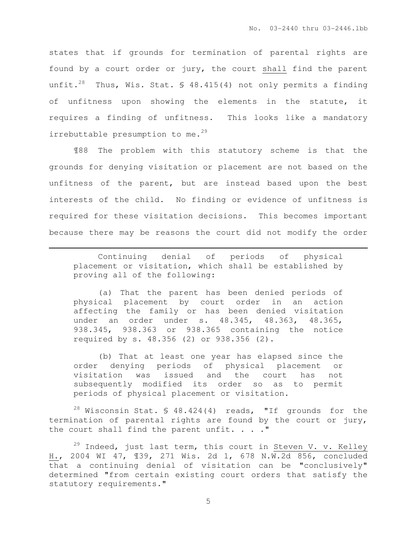states that if grounds for termination of parental rights are found by a court order or jury, the court shall find the parent unfit.<sup>28</sup> Thus, Wis. Stat. § 48.415(4) not only permits a finding of unfitness upon showing the elements in the statute, it requires a finding of unfitness. This looks like a mandatory irrebuttable presumption to me.<sup>29</sup>

¶88 The problem with this statutory scheme is that the grounds for denying visitation or placement are not based on the unfitness of the parent, but are instead based upon the best interests of the child. No finding or evidence of unfitness is required for these visitation decisions. This becomes important because there may be reasons the court did not modify the order

Continuing denial of periods of physical placement or visitation, which shall be established by proving all of the following:

l.

(a) That the parent has been denied periods of physical placement by court order in an action affecting the family or has been denied visitation under an order under s. 48.345, 48.363, 48.365, 938.345, 938.363 or 938.365 containing the notice required by s. 48.356 (2) or 938.356 (2).

(b) That at least one year has elapsed since the order denying periods of physical placement or visitation was issued and the court has not subsequently modified its order so as to permit periods of physical placement or visitation.

<sup>28</sup> Wisconsin Stat.  $$48.424(4)$  reads, "If grounds for the termination of parental rights are found by the court or jury, the court shall find the parent unfit.  $\ldots$ ."

 $29$  Indeed, just last term, this court in Steven V. v. Kelley H., 2004 WI 47, ¶39, 271 Wis. 2d 1, 678 N.W.2d 856, concluded that a continuing denial of visitation can be "conclusively" determined "from certain existing court orders that satisfy the statutory requirements."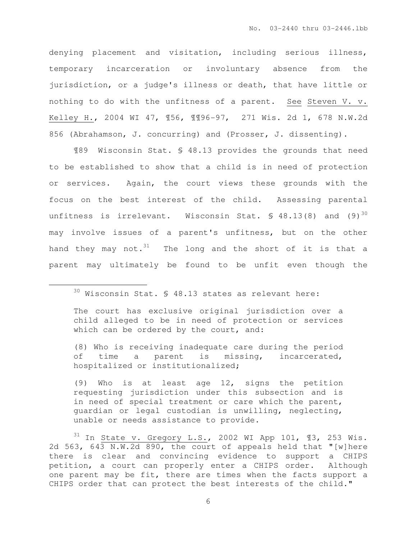denying placement and visitation, including serious illness, temporary incarceration or involuntary absence from the jurisdiction, or a judge's illness or death, that have little or nothing to do with the unfitness of a parent. See Steven V. v. Kelley H., 2004 WI 47, ¶56, ¶¶96-97, 271 Wis. 2d 1, 678 N.W.2d 856 (Abrahamson, J. concurring) and (Prosser, J. dissenting).

¶89 Wisconsin Stat. § 48.13 provides the grounds that need to be established to show that a child is in need of protection or services. Again, the court views these grounds with the focus on the best interest of the child. Assessing parental unfitness is irrelevant. Wisconsin Stat.  $\frac{1}{5}$  48.13(8) and (9)<sup>30</sup> may involve issues of a parent's unfitness, but on the other hand they may not. $31$  The long and the short of it is that a parent may ultimately be found to be unfit even though the

l.

(8) Who is receiving inadequate care during the period of time a parent is missing, incarcerated, hospitalized or institutionalized;

(9) Who is at least age 12, signs the petition requesting jurisdiction under this subsection and is in need of special treatment or care which the parent, guardian or legal custodian is unwilling, neglecting, unable or needs assistance to provide.

 $31$  In State v. Gregory L.S., 2002 WI App 101, 13, 253 Wis. 2d 563, 643 N.W.2d 890, the court of appeals held that "[w]here there is clear and convincing evidence to support a CHIPS petition, a court can properly enter a CHIPS order. Although one parent may be fit, there are times when the facts support a CHIPS order that can protect the best interests of the child."

 $30$  Wisconsin Stat. § 48.13 states as relevant here:

The court has exclusive original jurisdiction over a child alleged to be in need of protection or services which can be ordered by the court, and: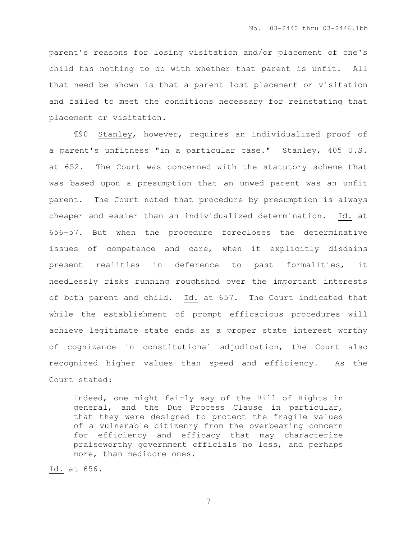parent's reasons for losing visitation and/or placement of one's child has nothing to do with whether that parent is unfit. All that need be shown is that a parent lost placement or visitation and failed to meet the conditions necessary for reinstating that placement or visitation.

¶90 Stanley, however, requires an individualized proof of a parent's unfitness "in a particular case." Stanley, 405 U.S. at 652. The Court was concerned with the statutory scheme that was based upon a presumption that an unwed parent was an unfit parent. The Court noted that procedure by presumption is always cheaper and easier than an individualized determination. Id. at 656-57. But when the procedure forecloses the determinative issues of competence and care, when it explicitly disdains present realities in deference to past formalities, it needlessly risks running roughshod over the important interests of both parent and child. Id. at 657. The Court indicated that while the establishment of prompt efficacious procedures will achieve legitimate state ends as a proper state interest worthy of cognizance in constitutional adjudication, the Court also recognized higher values than speed and efficiency. As the Court stated:

Indeed, one might fairly say of the Bill of Rights in general, and the Due Process Clause in particular, that they were designed to protect the fragile values of a vulnerable citizenry from the overbearing concern for efficiency and efficacy that may characterize praiseworthy government officials no less, and perhaps more, than mediocre ones.

Id. at 656.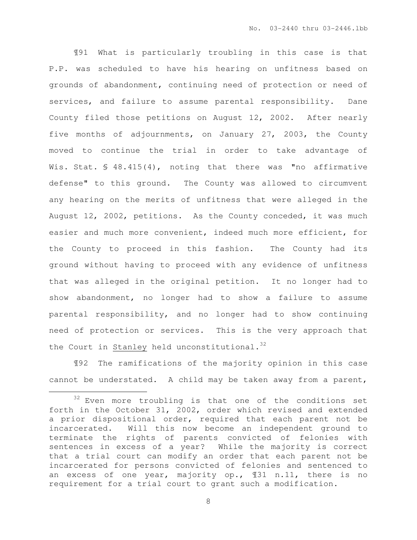¶91 What is particularly troubling in this case is that P.P. was scheduled to have his hearing on unfitness based on grounds of abandonment, continuing need of protection or need of services, and failure to assume parental responsibility. Dane County filed those petitions on August 12, 2002. After nearly five months of adjournments, on January 27, 2003, the County moved to continue the trial in order to take advantage of Wis. Stat. § 48.415(4), noting that there was "no affirmative defense" to this ground. The County was allowed to circumvent any hearing on the merits of unfitness that were alleged in the August 12, 2002, petitions. As the County conceded, it was much easier and much more convenient, indeed much more efficient, for the County to proceed in this fashion. The County had its ground without having to proceed with any evidence of unfitness that was alleged in the original petition. It no longer had to show abandonment, no longer had to show a failure to assume parental responsibility, and no longer had to show continuing need of protection or services. This is the very approach that the Court in Stanley held unconstitutional. $32$ 

¶92 The ramifications of the majority opinion in this case cannot be understated. A child may be taken away from a parent,

l.

 $32$  Even more troubling is that one of the conditions set forth in the October 31, 2002, order which revised and extended a prior dispositional order, required that each parent not be incarcerated. Will this now become an independent ground to terminate the rights of parents convicted of felonies with sentences in excess of a year? While the majority is correct that a trial court can modify an order that each parent not be incarcerated for persons convicted of felonies and sentenced to an excess of one year, majority op., ¶31 n.11, there is no requirement for a trial court to grant such a modification.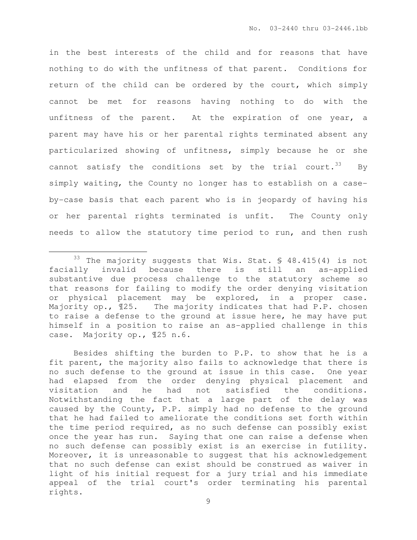in the best interests of the child and for reasons that have nothing to do with the unfitness of that parent. Conditions for return of the child can be ordered by the court, which simply cannot be met for reasons having nothing to do with the unfitness of the parent. At the expiration of one year, a parent may have his or her parental rights terminated absent any particularized showing of unfitness, simply because he or she cannot satisfy the conditions set by the trial court.<sup>33</sup> By simply waiting, the County no longer has to establish on a caseby-case basis that each parent who is in jeopardy of having his or her parental rights terminated is unfit. The County only needs to allow the statutory time period to run, and then rush

 $\overline{a}$ 

Besides shifting the burden to P.P. to show that he is a fit parent, the majority also fails to acknowledge that there is no such defense to the ground at issue in this case. One year had elapsed from the order denying physical placement and visitation and he had not satisfied the conditions. Notwithstanding the fact that a large part of the delay was caused by the County, P.P. simply had no defense to the ground that he had failed to ameliorate the conditions set forth within the time period required, as no such defense can possibly exist once the year has run. Saying that one can raise a defense when no such defense can possibly exist is an exercise in futility. Moreover, it is unreasonable to suggest that his acknowledgement that no such defense can exist should be construed as waiver in light of his initial request for a jury trial and his immediate appeal of the trial court's order terminating his parental rights.

<sup>&</sup>lt;sup>33</sup> The majority suggests that Wis. Stat.  $$48.415(4)$  is not facially invalid because there is still an as-applied substantive due process challenge to the statutory scheme so that reasons for failing to modify the order denying visitation or physical placement may be explored, in a proper case. Majority op., 125. The majority indicates that had P.P. chosen to raise a defense to the ground at issue here, he may have put himself in a position to raise an as-applied challenge in this case. Majority op., ¶25 n.6.